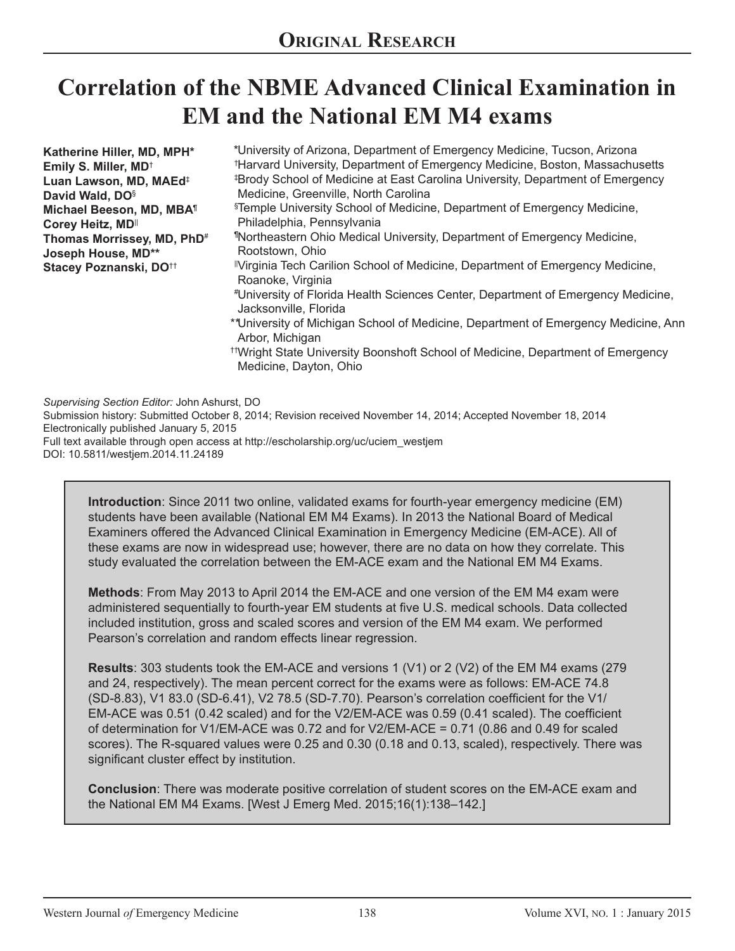# **Correlation of the NBME Advanced Clinical Examination in EM and the National EM M4 exams**

| Katherine Hiller, MD, MPH*<br>Emily S. Miller, MD <sup>+</sup><br>Luan Lawson, MD, MAEd <sup>‡</sup><br>David Wald, DO <sup>§</sup><br>Michael Beeson, MD, MBA <sup>1</sup><br>Corey Heitz, MD<br>Thomas Morrissey, MD, PhD <sup>#</sup><br>Joseph House, MD**<br>Stacey Poznanski, DO <sup>++</sup> | *University of Arizona, Department of Emergency Medicine, Tucson, Arizona<br><sup>†</sup> Harvard University, Department of Emergency Medicine, Boston, Massachusetts<br><sup>‡</sup> Brody School of Medicine at East Carolina University, Department of Emergency<br>Medicine, Greenville, North Carolina<br><sup>§</sup> Temple University School of Medicine, Department of Emergency Medicine,<br>Philadelphia, Pennsylvania<br>"Northeastern Ohio Medical University, Department of Emergency Medicine,<br>Rootstown, Ohio<br>"Virginia Tech Carilion School of Medicine, Department of Emergency Medicine,<br>Roanoke, Virginia<br>#University of Florida Health Sciences Center, Department of Emergency Medicine,<br>Jacksonville, Florida<br>**University of Michigan School of Medicine, Department of Emergency Medicine, Ann<br>Arbor, Michigan<br><sup>††</sup> Wright State University Boonshoft School of Medicine, Department of Emergency<br>Medicine, Dayton, Ohio |
|------------------------------------------------------------------------------------------------------------------------------------------------------------------------------------------------------------------------------------------------------------------------------------------------------|---------------------------------------------------------------------------------------------------------------------------------------------------------------------------------------------------------------------------------------------------------------------------------------------------------------------------------------------------------------------------------------------------------------------------------------------------------------------------------------------------------------------------------------------------------------------------------------------------------------------------------------------------------------------------------------------------------------------------------------------------------------------------------------------------------------------------------------------------------------------------------------------------------------------------------------------------------------------------------------|
|------------------------------------------------------------------------------------------------------------------------------------------------------------------------------------------------------------------------------------------------------------------------------------------------------|---------------------------------------------------------------------------------------------------------------------------------------------------------------------------------------------------------------------------------------------------------------------------------------------------------------------------------------------------------------------------------------------------------------------------------------------------------------------------------------------------------------------------------------------------------------------------------------------------------------------------------------------------------------------------------------------------------------------------------------------------------------------------------------------------------------------------------------------------------------------------------------------------------------------------------------------------------------------------------------|

*Supervising Section Editor:* John Ashurst, DO Submission history: Submitted October 8, 2014; Revision received November 14, 2014; Accepted November 18, 2014 Electronically published January 5, 2015 Full text available through open access at http://escholarship.org/uc/uciem\_westjem DOI: 10.5811/westjem.2014.11.24189

**Introduction**: Since 2011 two online, validated exams for fourth-year emergency medicine (EM) students have been available (National EM M4 Exams). In 2013 the National Board of Medical Examiners offered the Advanced Clinical Examination in Emergency Medicine (EM-ACE). All of these exams are now in widespread use; however, there are no data on how they correlate. This study evaluated the correlation between the EM-ACE exam and the National EM M4 Exams.

**Methods**: From May 2013 to April 2014 the EM-ACE and one version of the EM M4 exam were administered sequentially to fourth-year EM students at five U.S. medical schools. Data collected included institution, gross and scaled scores and version of the EM M4 exam. We performed Pearson's correlation and random effects linear regression.

**Results**: 303 students took the EM-ACE and versions 1 (V1) or 2 (V2) of the EM M4 exams (279 and 24, respectively). The mean percent correct for the exams were as follows: EM-ACE 74.8 (SD-8.83), V1 83.0 (SD-6.41), V2 78.5 (SD-7.70). Pearson's correlation coefficient for the V1/ EM-ACE was 0.51 (0.42 scaled) and for the V2/EM-ACE was 0.59 (0.41 scaled). The coefficient of determination for V1/EM-ACE was 0.72 and for V2/EM-ACE = 0.71 (0.86 and 0.49 for scaled scores). The R-squared values were 0.25 and 0.30 (0.18 and 0.13, scaled), respectively. There was significant cluster effect by institution.

**Conclusion**: There was moderate positive correlation of student scores on the EM-ACE exam and the National EM M4 Exams. [West J Emerg Med. 2015;16(1):138–142.]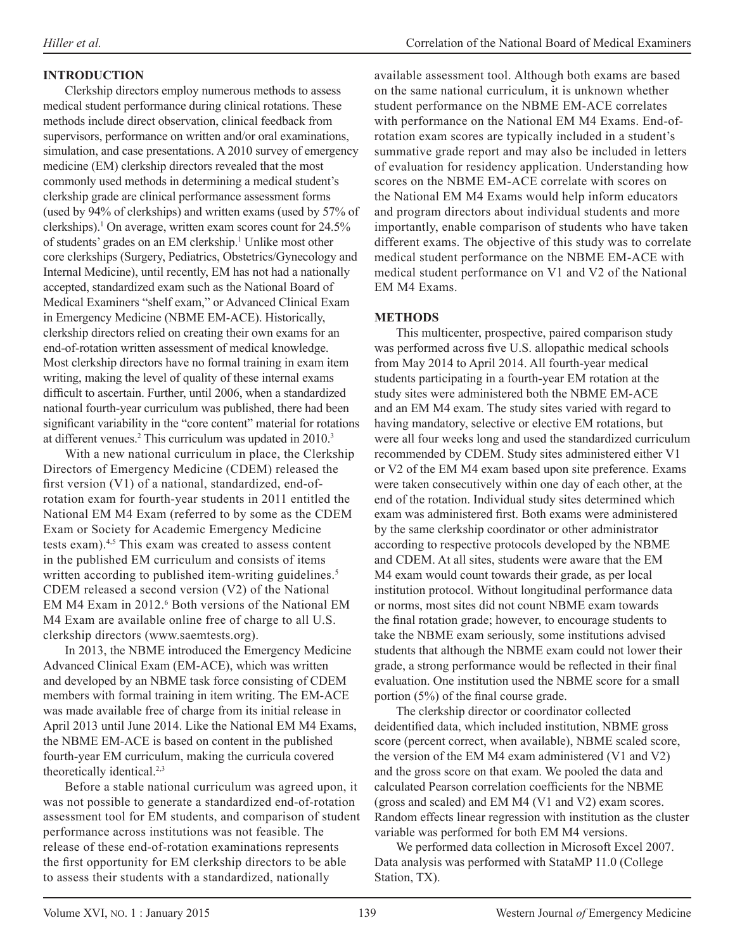## **INTRODUCTION**

Clerkship directors employ numerous methods to assess medical student performance during clinical rotations. These methods include direct observation, clinical feedback from supervisors, performance on written and/or oral examinations, simulation, and case presentations. A 2010 survey of emergency medicine (EM) clerkship directors revealed that the most commonly used methods in determining a medical student's clerkship grade are clinical performance assessment forms (used by 94% of clerkships) and written exams (used by 57% of clerkships).1 On average, written exam scores count for 24.5% of students' grades on an EM clerkship.<sup>1</sup> Unlike most other core clerkships (Surgery, Pediatrics, Obstetrics/Gynecology and Internal Medicine), until recently, EM has not had a nationally accepted, standardized exam such as the National Board of Medical Examiners "shelf exam," or Advanced Clinical Exam in Emergency Medicine (NBME EM-ACE). Historically, clerkship directors relied on creating their own exams for an end-of-rotation written assessment of medical knowledge. Most clerkship directors have no formal training in exam item writing, making the level of quality of these internal exams difficult to ascertain. Further, until 2006, when a standardized national fourth-year curriculum was published, there had been significant variability in the "core content" material for rotations at different venues.<sup>2</sup> This curriculum was updated in 2010.<sup>3</sup>

With a new national curriculum in place, the Clerkship Directors of Emergency Medicine (CDEM) released the first version (V1) of a national, standardized, end-ofrotation exam for fourth-year students in 2011 entitled the National EM M4 Exam (referred to by some as the CDEM Exam or Society for Academic Emergency Medicine tests exam).4,5 This exam was created to assess content in the published EM curriculum and consists of items written according to published item-writing guidelines.<sup>5</sup> CDEM released a second version (V2) of the National EM M4 Exam in 2012.<sup>6</sup> Both versions of the National EM M4 Exam are available online free of charge to all U.S. clerkship directors (www.saemtests.org).

In 2013, the NBME introduced the Emergency Medicine Advanced Clinical Exam (EM-ACE), which was written and developed by an NBME task force consisting of CDEM members with formal training in item writing. The EM-ACE was made available free of charge from its initial release in April 2013 until June 2014. Like the National EM M4 Exams, the NBME EM-ACE is based on content in the published fourth-year EM curriculum, making the curricula covered theoretically identical.<sup>2,3</sup>

Before a stable national curriculum was agreed upon, it was not possible to generate a standardized end-of-rotation assessment tool for EM students, and comparison of student performance across institutions was not feasible. The release of these end-of-rotation examinations represents the first opportunity for EM clerkship directors to be able to assess their students with a standardized, nationally

available assessment tool. Although both exams are based on the same national curriculum, it is unknown whether student performance on the NBME EM-ACE correlates with performance on the National EM M4 Exams. End-ofrotation exam scores are typically included in a student's summative grade report and may also be included in letters of evaluation for residency application. Understanding how scores on the NBME EM-ACE correlate with scores on the National EM M4 Exams would help inform educators and program directors about individual students and more importantly, enable comparison of students who have taken different exams. The objective of this study was to correlate medical student performance on the NBME EM-ACE with medical student performance on V1 and V2 of the National EM M4 Exams.

## **METHODS**

This multicenter, prospective, paired comparison study was performed across five U.S. allopathic medical schools from May 2014 to April 2014. All fourth-year medical students participating in a fourth-year EM rotation at the study sites were administered both the NBME EM-ACE and an EM M4 exam. The study sites varied with regard to having mandatory, selective or elective EM rotations, but were all four weeks long and used the standardized curriculum recommended by CDEM. Study sites administered either V1 or V2 of the EM M4 exam based upon site preference. Exams were taken consecutively within one day of each other, at the end of the rotation. Individual study sites determined which exam was administered first. Both exams were administered by the same clerkship coordinator or other administrator according to respective protocols developed by the NBME and CDEM. At all sites, students were aware that the EM M4 exam would count towards their grade, as per local institution protocol. Without longitudinal performance data or norms, most sites did not count NBME exam towards the final rotation grade; however, to encourage students to take the NBME exam seriously, some institutions advised students that although the NBME exam could not lower their grade, a strong performance would be reflected in their final evaluation. One institution used the NBME score for a small portion (5%) of the final course grade.

The clerkship director or coordinator collected deidentified data, which included institution, NBME gross score (percent correct, when available), NBME scaled score, the version of the EM M4 exam administered (V1 and V2) and the gross score on that exam. We pooled the data and calculated Pearson correlation coefficients for the NBME (gross and scaled) and EM M4 (V1 and V2) exam scores. Random effects linear regression with institution as the cluster variable was performed for both EM M4 versions.

We performed data collection in Microsoft Excel 2007. Data analysis was performed with StataMP 11.0 (College Station, TX).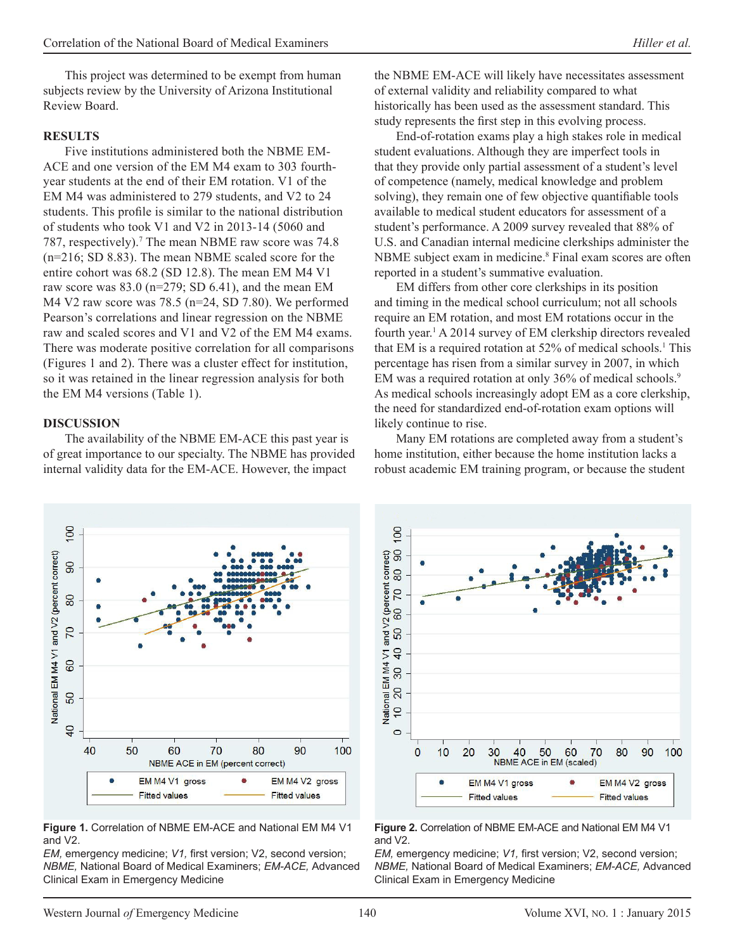This project was determined to be exempt from human subjects review by the University of Arizona Institutional Review Board.

#### **RESULTS**

Five institutions administered both the NBME EM-ACE and one version of the EM M4 exam to 303 fourthyear students at the end of their EM rotation. V1 of the EM M4 was administered to 279 students, and V2 to 24 students. This profile is similar to the national distribution of students who took V1 and V2 in 2013-14 (5060 and 787, respectively).<sup>7</sup> The mean NBME raw score was 74.8 (n=216; SD 8.83). The mean NBME scaled score for the entire cohort was 68.2 (SD 12.8). The mean EM M4 V1 raw score was  $83.0$  (n=279; SD 6.41), and the mean EM M4 V2 raw score was 78.5 (n=24, SD 7.80). We performed Pearson's correlations and linear regression on the NBME raw and scaled scores and V1 and V2 of the EM M4 exams. There was moderate positive correlation for all comparisons (Figures 1 and 2). There was a cluster effect for institution, so it was retained in the linear regression analysis for both the EM M4 versions (Table 1).

#### **DISCUSSION**

The availability of the NBME EM-ACE this past year is of great importance to our specialty. The NBME has provided internal validity data for the EM-ACE. However, the impact

the NBME EM-ACE will likely have necessitates assessment of external validity and reliability compared to what historically has been used as the assessment standard. This study represents the first step in this evolving process.

End-of-rotation exams play a high stakes role in medical student evaluations. Although they are imperfect tools in that they provide only partial assessment of a student's level of competence (namely, medical knowledge and problem solving), they remain one of few objective quantifiable tools available to medical student educators for assessment of a student's performance. A 2009 survey revealed that 88% of U.S. and Canadian internal medicine clerkships administer the NBME subject exam in medicine.<sup>8</sup> Final exam scores are often reported in a student's summative evaluation.

EM differs from other core clerkships in its position and timing in the medical school curriculum; not all schools require an EM rotation, and most EM rotations occur in the fourth year.<sup>1</sup> A 2014 survey of EM clerkship directors revealed that EM is a required rotation at 52% of medical schools.1 This percentage has risen from a similar survey in 2007, in which EM was a required rotation at only 36% of medical schools.<sup>9</sup> As medical schools increasingly adopt EM as a core clerkship, the need for standardized end-of-rotation exam options will likely continue to rise.

Many EM rotations are completed away from a student's home institution, either because the home institution lacks a robust academic EM training program, or because the student



**Figure 1.** Correlation of NBME EM-ACE and National EM M4 V1 and V2.

*EM*, emergency medicine; *V1*, first version; *V2*, second version; *NBME,* National Board of Medical Examiners; *EM-ACE,* Advanced Clinical Exam in Emergency Medicine



#### **Figure 2.** Correlation of NBME EM-ACE and National EM M4 V1 and V2.

*EM*, emergency medicine; *V1*, first version; *V2*, second version; *NBME,* National Board of Medical Examiners; *EM-ACE,* Advanced Clinical Exam in Emergency Medicine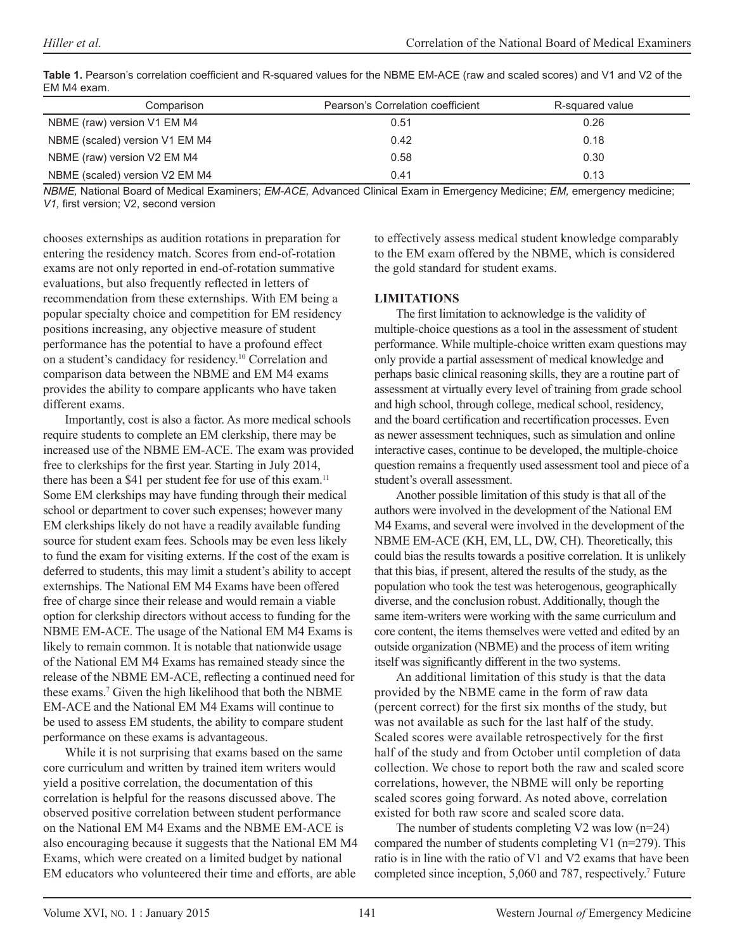| Comparison                     | Pearson's Correlation coefficient | R-squared value |
|--------------------------------|-----------------------------------|-----------------|
| NBME (raw) version V1 EM M4    | 0.51                              | 0.26            |
| NBME (scaled) version V1 EM M4 | 0.42                              | 0.18            |
| NBME (raw) version V2 EM M4    | 0.58                              | 0.30            |
| NBME (scaled) version V2 EM M4 | 0.41                              | 0.13            |

| Table 1. Pearson's correlation coefficient and R-squared values for the NBME EM-ACE (raw and scaled scores) and V1 and V2 of the |
|----------------------------------------------------------------------------------------------------------------------------------|
| EM M4 exam.                                                                                                                      |

*NBME,* National Board of Medical Examiners; *EM-ACE,* Advanced Clinical Exam in Emergency Medicine; *EM,* emergency medicine; *V1,* first version; V2, second version

chooses externships as audition rotations in preparation for entering the residency match. Scores from end-of-rotation exams are not only reported in end-of-rotation summative evaluations, but also frequently reflected in letters of recommendation from these externships. With EM being a popular specialty choice and competition for EM residency positions increasing, any objective measure of student performance has the potential to have a profound effect on a student's candidacy for residency.10 Correlation and comparison data between the NBME and EM M4 exams provides the ability to compare applicants who have taken different exams.

Importantly, cost is also a factor. As more medical schools require students to complete an EM clerkship, there may be increased use of the NBME EM-ACE. The exam was provided free to clerkships for the first year. Starting in July 2014, there has been a \$41 per student fee for use of this exam.<sup>11</sup> Some EM clerkships may have funding through their medical school or department to cover such expenses; however many EM clerkships likely do not have a readily available funding source for student exam fees. Schools may be even less likely to fund the exam for visiting externs. If the cost of the exam is deferred to students, this may limit a student's ability to accept externships. The National EM M4 Exams have been offered free of charge since their release and would remain a viable option for clerkship directors without access to funding for the NBME EM-ACE. The usage of the National EM M4 Exams is likely to remain common. It is notable that nationwide usage of the National EM M4 Exams has remained steady since the release of the NBME EM-ACE, reflecting a continued need for these exams.7 Given the high likelihood that both the NBME EM-ACE and the National EM M4 Exams will continue to be used to assess EM students, the ability to compare student performance on these exams is advantageous.

While it is not surprising that exams based on the same core curriculum and written by trained item writers would yield a positive correlation, the documentation of this correlation is helpful for the reasons discussed above. The observed positive correlation between student performance on the National EM M4 Exams and the NBME EM-ACE is also encouraging because it suggests that the National EM M4 Exams, which were created on a limited budget by national EM educators who volunteered their time and efforts, are able

to effectively assess medical student knowledge comparably to the EM exam offered by the NBME, which is considered the gold standard for student exams.

## **LIMITATIONS**

The first limitation to acknowledge is the validity of multiple-choice questions as a tool in the assessment of student performance. While multiple-choice written exam questions may only provide a partial assessment of medical knowledge and perhaps basic clinical reasoning skills, they are a routine part of assessment at virtually every level of training from grade school and high school, through college, medical school, residency, and the board certification and recertification processes. Even as newer assessment techniques, such as simulation and online interactive cases, continue to be developed, the multiple-choice question remains a frequently used assessment tool and piece of a student's overall assessment.

Another possible limitation of this study is that all of the authors were involved in the development of the National EM M4 Exams, and several were involved in the development of the NBME EM-ACE (KH, EM, LL, DW, CH). Theoretically, this could bias the results towards a positive correlation. It is unlikely that this bias, if present, altered the results of the study, as the population who took the test was heterogenous, geographically diverse, and the conclusion robust. Additionally, though the same item-writers were working with the same curriculum and core content, the items themselves were vetted and edited by an outside organization (NBME) and the process of item writing itself was significantly different in the two systems.

An additional limitation of this study is that the data provided by the NBME came in the form of raw data (percent correct) for the first six months of the study, but was not available as such for the last half of the study. Scaled scores were available retrospectively for the first half of the study and from October until completion of data collection. We chose to report both the raw and scaled score correlations, however, the NBME will only be reporting scaled scores going forward. As noted above, correlation existed for both raw score and scaled score data.

The number of students completing V2 was low (n=24) compared the number of students completing V1 (n=279). This ratio is in line with the ratio of V1 and V2 exams that have been completed since inception, 5,060 and 787, respectively.<sup>7</sup> Future